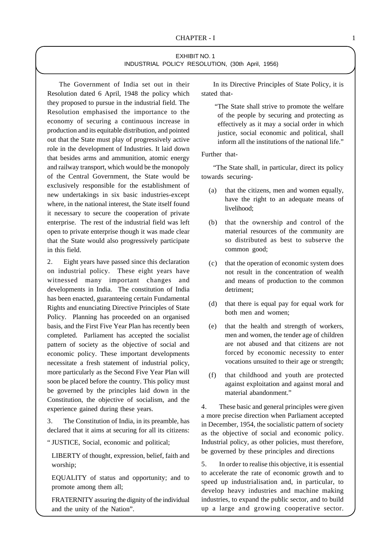### EXHIBIT NO. 1 INDUSTRIAL POLICY RESOLUTION, (30th April, 1956)

The Government of India set out in their Resolution dated 6 April, 1948 the policy which they proposed to pursue in the industrial field. The Resolution emphasised the importance to the economy of securing a continuous increase in production and its equitable distribution, and pointed out that the State must play of progressively active role in the development of Industries. It laid down that besides arms and ammunition, atomic energy and railway transport, which would be the monopoly of the Central Government, the State would be exclusively responsible for the establishment of new undertakings in six basic industries-except where, in the national interest, the State itself found it necessary to secure the cooperation of private enterprise. The rest of the industrial field was left open to private enterprise though it was made clear that the State would also progressively participate in this field.

2. Eight years have passed since this declaration on industrial policy. These eight years have witnessed many important changes and developments in India. The constitution of India has been enacted, guaranteeing certain Fundamental Rights and enunciating Directive Principles of State Policy. Planning has proceeded on an organised basis, and the First Five Year Plan has recently been completed. Parliament has accepted the socialist pattern of society as the objective of social and economic policy. These important developments necessitate a fresh statement of industrial policy, more particularly as the Second Five Year Plan will soon be placed before the country. This policy must be governed by the principles laid down in the Constitution, the objective of socialism, and the experience gained during these years.

3. The Constitution of India, in its preamble, has declared that it aims at securing for all its citizens:

" JUSTICE, Social, economic and political;

LIBERTY of thought, expression, belief, faith and worship;

EQUALITY of status and opportunity; and to promote among them all;

FRATERNITY assuring the dignity of the individual and the unity of the Nation".

In its Directive Principles of State Policy, it is stated that-

"The State shall strive to promote the welfare of the people by securing and protecting as effectively as it may a social order in which justice, social economic and political, shall inform all the institutions of the national life."

### Further that-

"The State shall, in particular, direct its policy towards securing-

- (a) that the citizens, men and women equally, have the right to an adequate means of livelihood;
- (b) that the ownership and control of the material resources of the community are so distributed as best to subserve the common good;
- (c) that the operation of economic system does not result in the concentration of wealth and means of production to the common detriment;
- (d) that there is equal pay for equal work for both men and women;
- (e) that the health and strength of workers, men and women, the tender age of children are not abused and that citizens are not forced by economic necessity to enter vocations unsuited to their age or strength;
- (f) that childhood and youth are protected against exploitation and against moral and material abandonment."

4. These basic and general principles were given a more precise direction when Parliament accepted in December, 1954, the socialistic pattern of society as the objective of social and economic policy. Industrial policy, as other policies, must therefore, be governed by these principles and directions

5. In order to realise this objective, it is essential to accelerate the rate of economic growth and to speed up industrialisation and, in particular, to develop heavy industries and machine making industries, to expand the public sector, and to build up a large and growing cooperative sector.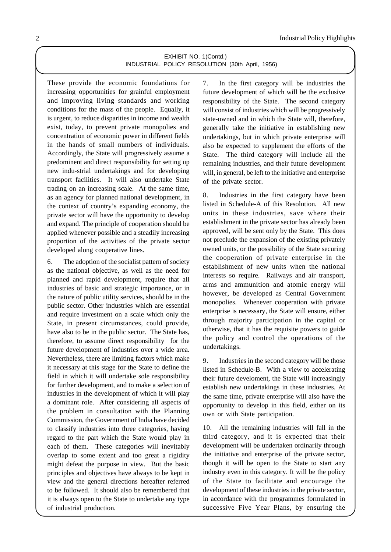### EXHIBIT NO. 1(Contd.) INDUSTRIAL POLICY RESOLUTION (30th April, 1956)

These provide the economic foundations for increasing opportunities for grainful employment and improving living standards and working conditions for the mass of the people. Equally, it is urgent, to reduce disparities in income and wealth exist, today, to prevent private monopolies and concentration of economic power in different fields in the hands of small numbers of individuals. Accordingly, the State will progressively assume a predominent and direct responsibility for setting up new indu-strial undertakings and for developing transport facilities. It will also undertake State trading on an increasing scale. At the same time, as an agency for planned national development, in the context of country's expanding economy, the private sector will have the opportunity to develop and expand. The principle of cooperation should be applied whenever possible and a steadily increasing proportion of the activities of the private sector developed along cooperative lines.

6. The adoption of the socialist pattern of society as the national objective, as well as the need for planned and rapid development, require that all industries of basic and strategic importance, or in the nature of public utility services, should be in the public sector. Other industries which are essential and require investment on a scale which only the State, in present circumstances, could provide, have also to be in the public sector. The State has, therefore, to assume direct responsibility for the future development of industries over a wide area. Nevertheless, there are limiting factors which make it necessary at this stage for the State to define the field in which it will undertake sole responsibility for further development, and to make a selection of industries in the development of which it will play a dominant role. After considering all aspects of the problem in consultation with the Planning Commission, the Government of India have decided to classify industries into three categories, having regard to the part which the State would play in each of them. These categories will inevitably overlap to some extent and too great a rigidity might defeat the purpose in view. But the basic principles and objectives have always to be kept in view and the general directions hereafter referred to be followed. It should also be remembered that it is always open to the State to undertake any type of industrial production.

7. In the first category will be industries the future development of which will be the exclusive responsibility of the State. The second category will consist of industries which will be progressively state-owned and in which the State will, therefore, generally take the initiative in establishing new undertakings, but in which private enterprise will also be expected to supplement the efforts of the State. The third category will include all the remaining industries, and their future development will, in general, be left to the initiative and enterprise of the private sector.

8. Industries in the first category have been listed in Schedule-A of this Resolution. All new units in these industries, save where their establishment in the private sector has already been approved, will be sent only by the State. This does not preclude the expansion of the existing privately owned units, or the possibility of the State securing the cooperation of private enterprise in the establishment of new units when the national interests so require. Railways and air transport, arms and ammunition and atomic energy will however, be developed as Central Government monopolies. Whenever cooperation with private enterprise is necessary, the State will ensure, either through majority participation in the capital or otherwise, that it has the requisite powers to guide the policy and control the operations of the undertakings.

9. Industries in the second category will be those listed in Schedule-B. With a view to accelerating their future develoment, the State will increasingly establish new undertakings in these industries. At the same time, private enterprise will also have the opportunity to develop in this field, either on its own or with State participation.

10. All the remaining industries will fall in the third category, and it is expected that their development will be undertaken ordinarily through the initiative and enterprise of the private sector, though it will be open to the State to start any industry even in this category. It will be the policy of the State to facilitate and encourage the development of these industries in the private sector, in accordance with the programmes formulated in successive Five Year Plans, by ensuring the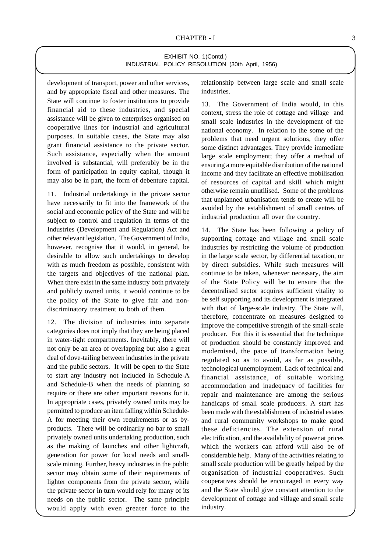development of transport, power and other services, and by appropriate fiscal and other measures. The State will continue to foster institutions to provide financial aid to these industries, and special assistance will be given to enterprises organised on cooperative lines for industrial and agricultural purposes. In suitable cases, the State may also grant financial assistance to the private sector. Such assistance, especially when the amount involved is substantial, will preferably be in the form of participation in equity capital, though it may also be in part, the form of debenture capital.

11. Industrial undertakings in the private sector have necessarily to fit into the framework of the social and economic policy of the State and will be subject to control and regulation in terms of the Industries (Development and Regulation) Act and other relevant legislation. The Government of India, however, recognise that it would, in general, be desirable to allow such undertakings to develop with as much freedom as possible, consistent with the targets and objectives of the national plan. When there exist in the same industry both privately and publicly owned units, it would continue to be the policy of the State to give fair and nondiscriminatory treatment to both of them.

12. The division of industries into separate categories does not imply that they are being placed in water-tight compartments. Inevitably, there will not only be an area of overlapping but also a great deal of dove-tailing between industries in the private and the public sectors. It will be open to the State to start any industry not included in Schedule-A and Schedule-B when the needs of planning so require or there are other important reasons for it. In appropriate cases, privately owned units may be permitted to produce an item falling within Schedule-A for meeting their own requirements or as byproducts. There will be ordinarily no bar to small privately owned units undertaking production, such as the making of launches and other lightcraft, generation for power for local needs and smallscale mining. Further, heavy industries in the public sector may obtain some of their requirements of lighter components from the private sector, while the private sector in turn would rely for many of its needs on the public sector. The same principle would apply with even greater force to the

relationship between large scale and small scale industries.

13. The Government of India would, in this context, stress the role of cottage and village and small scale industries in the development of the national economy. In relation to the some of the problems that need urgent solutions, they offer some distinct advantages. They provide immediate large scale employment; they offer a method of ensuring a more equitable distribution of the national income and they facilitate an effective mobilisation of resources of capital and skill which might otherwise remain unutilised. Some of the problems that unplanned urbanisation tends to create will be avoided by the establishment of small centres of industrial production all over the country.

14. The State has been following a policy of supporting cottage and village and small scale industries by restricting the volume of production in the large scale sector, by differential taxation, or by direct subsidies. While such measures will continue to be taken, whenever necessary, the aim of the State Policy will be to ensure that the decentralised sector acquires sufficient vitality to be self supporting and its development is integrated with that of large-scale industry. The State will, therefore, concentrate on measures designed to improve the competitive strength of the small-scale producer. For this it is essential that the technique of production should be constantly improved and modernised, the pace of transformation being regulated so as to avoid, as far as possible, technological unemployment. Lack of technical and financial assistance, of suitable working accommodation and inadequacy of facilities for repair and maintenance are among the serious handicaps of small scale producers. A start has been made with the establishment of industrial estates and rural community workshops to make good these deficiencies. The extension of rural electrification, and the availability of power at prices which the workers can afford will also be of considerable help. Many of the activities relating to small scale production will be greatly helped by the organisation of industrial cooperatives. Such cooperatives should be encouraged in every way and the State should give constant attention to the development of cottage and village and small scale industry.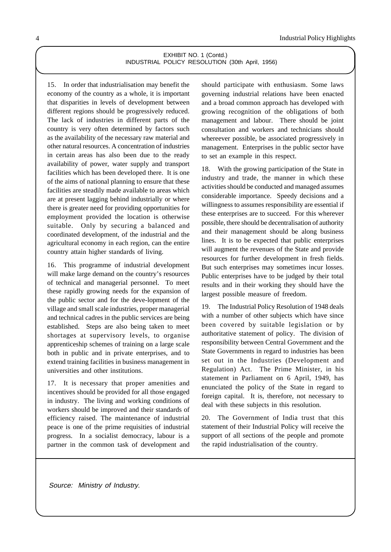### EXHIBIT NO. 1 (Contd.) INDUSTRIAL POLICY RESOLUTION (30th April, 1956)

15. In order that industrialisation may benefit the economy of the country as a whole, it is important that disparities in levels of development between different regions should be progressively reduced. The lack of industries in different parts of the country is very often determined by factors such as the availability of the necessary raw material and other natural resources. A concentration of industries in certain areas has also been due to the ready availability of power, water supply and transport facilities which has been developed there. It is one of the aims of national planning to ensure that these facilities are steadily made available to areas which are at present lagging behind industrially or where there is greater need for providing opportunities for employment provided the location is otherwise suitable. Only by securing a balanced and coordinated development, of the industrial and the agricultural economy in each region, can the entire country attain higher standards of living.

16. This programme of industrial development will make large demand on the country's resources of technical and managerial personnel. To meet these rapidly growing needs for the expansion of the public sector and for the deve-lopment of the village and small scale industries, proper managerial and technical cadres in the public services are being established. Steps are also being taken to meet shortages at supervisory levels, to organise apprenticeship schemes of training on a large scale both in public and in private enterprises, and to extend training facilities in business management in universities and other institutions.

17. It is necessary that proper amenities and incentives should be provided for all those engaged in industry. The living and working conditions of workers should be improved and their standards of efficiency raised. The maintenance of industrial peace is one of the prime requisities of industrial progress. In a socialist democracy, labour is a partner in the common task of development and should participate with enthusiasm. Some laws governing industrial relations have been enacted and a broad common approach has developed with growing recognition of the obligations of both management and labour. There should be joint consultation and workers and technicians should whereever possible, be associated progressively in management. Enterprises in the public sector have to set an example in this respect.

18. With the growing participation of the State in industry and trade, the manner in which these activities should be conducted and managed assumes considerable importance. Speedy decisions and a willingness to assumes responsibility are essential if these enterprises are to succeed. For this wherever possible, there should be decentralisation of authority and their management should be along business lines. It is to be expected that public enterprises will augment the revenues of the State and provide resources for further development in fresh fields. But such enterprises may sometimes incur losses. Public enterprises have to be judged by their total results and in their working they should have the largest possible measure of freedom.

19. The Industrial Policy Resolution of 1948 deals with a number of other subjects which have since been covered by suitable legislation or by authoritative statement of policy. The division of responsibility between Central Government and the State Governments in regard to industries has been set out in the Industries (Development and Regulation) Act. The Prime Minister, in his statement in Parliament on 6 April, 1949, has enunciated the policy of the State in regard to foreign capital. It is, therefore, not necessary to deal with these subjects in this resolution.

20. The Government of India trust that this statement of their Industrial Policy will receive the support of all sections of the people and promote the rapid industrialisation of the country.

Source: Ministry of Industry.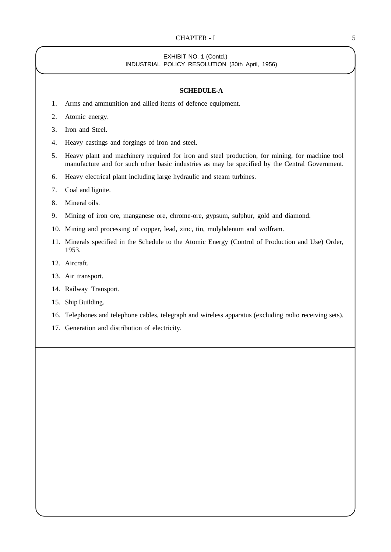### EXHIBIT NO. 1 (Contd.) INDUSTRIAL POLICY RESOLUTION (30th April, 1956)

### **SCHEDULE-A**

- 1. Arms and ammunition and allied items of defence equipment.
- 2. Atomic energy.
- 3. Iron and Steel.
- 4. Heavy castings and forgings of iron and steel.
- 5. Heavy plant and machinery required for iron and steel production, for mining, for machine tool manufacture and for such other basic industries as may be specified by the Central Government.
- 6. Heavy electrical plant including large hydraulic and steam turbines.
- 7. Coal and lignite.
- 8. Mineral oils.
- 9. Mining of iron ore, manganese ore, chrome-ore, gypsum, sulphur, gold and diamond.
- 10. Mining and processing of copper, lead, zinc, tin, molybdenum and wolfram.
- 11. Minerals specified in the Schedule to the Atomic Energy (Control of Production and Use) Order, 1953.
- 12. Aircraft.
- 13. Air transport.
- 14. Railway Transport.
- 15. Ship Building.
- 16. Telephones and telephone cables, telegraph and wireless apparatus (excluding radio receiving sets).
- 17. Generation and distribution of electricity.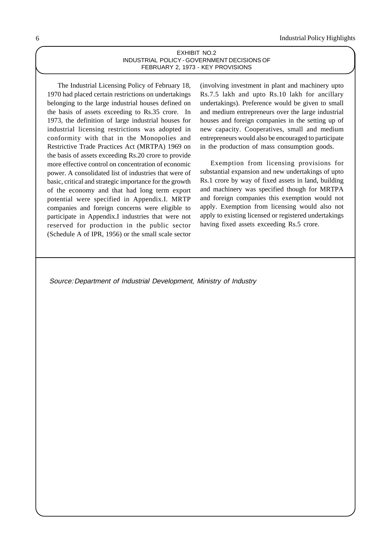#### EXHIBIT NO.2 INDUSTRIAL POLICY - GOVERNMENT DECISIONS OF FEBRUARY 2, 1973 - KEY PROVISIONS

The Industrial Licensing Policy of February 18, 1970 had placed certain restrictions on undertakings belonging to the large industrial houses defined on the basis of assets exceeding to Rs.35 crore. In 1973, the definition of large industrial houses for industrial licensing restrictions was adopted in conformity with that in the Monopolies and Restrictive Trade Practices Act (MRTPA) 1969 on the basis of assets exceeding Rs.20 crore to provide more effective control on concentration of economic power. A consolidated list of industries that were of basic, critical and strategic importance for the growth of the economy and that had long term export potential were specified in Appendix.I. MRTP companies and foreign concerns were eligible to participate in Appendix.I industries that were not reserved for production in the public sector (Schedule A of IPR, 1956) or the small scale sector

(involving investment in plant and machinery upto Rs.7.5 lakh and upto Rs.10 lakh for ancillary undertakings). Preference would be given to small and medium entrepreneurs over the large industrial houses and foreign companies in the setting up of new capacity. Cooperatives, small and medium entrepreneurs would also be encouraged to participate in the production of mass consumption goods.

Exemption from licensing provisions for substantial expansion and new undertakings of upto Rs.1 crore by way of fixed assets in land, building and machinery was specified though for MRTPA and foreign companies this exemption would not apply. Exemption from licensing would also not apply to existing licensed or registered undertakings having fixed assets exceeding Rs.5 crore.

Source:Department of Industrial Development, Ministry of Industry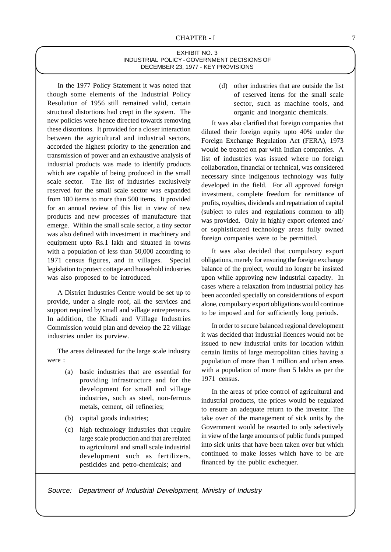#### EXHIBIT NO. 3 INDUSTRIAL POLICY - GOVERNMENT DECISIONS OF DECEMBER 23, 1977 - KEY PROVISIONS

In the 1977 Policy Statement it was noted that though some elements of the Industrial Policy Resolution of 1956 still remained valid, certain structural distortions had crept in the system. The new policies were hence directed towards removing these distortions. It provided for a closer interaction between the agricultural and industrial sectors, accorded the highest priority to the generation and transmission of power and an exhaustive analysis of industrial products was made to identify products which are capable of being produced in the small scale sector. The list of industries exclusively reserved for the small scale sector was expanded from 180 items to more than 500 items. It provided for an annual review of this list in view of new products and new processes of manufacture that emerge. Within the small scale sector, a tiny sector was also defined with investment in machinery and equipment upto Rs.1 lakh and situated in towns with a population of less than 50,000 according to 1971 census figures, and in villages. Special legislation to protect cottage and household industries was also proposed to be introduced.

A District Industries Centre would be set up to provide, under a single roof, all the services and support required by small and village entrepreneurs. In addition, the Khadi and Village Industries Commission would plan and develop the 22 village industries under its purview.

The areas delineated for the large scale industry were :

- (a) basic industries that are essential for providing infrastructure and for the development for small and village industries, such as steel, non-ferrous metals, cement, oil refineries;
- (b) capital goods industries;
- (c) high technology industries that require large scale production and that are related to agricultural and small scale industrial development such as fertilizers, pesticides and petro-chemicals; and

(d) other industries that are outside the list of reserved items for the small scale sector, such as machine tools, and organic and inorganic chemicals.

It was also clarified that foreign companies that diluted their foreign equity upto 40% under the Foreign Exchange Regulation Act (FERA), 1973 would be treated on par with Indian companies. A list of industries was issued where no foreign collaboration, financial or technical, was considered necessary since indigenous technology was fully developed in the field. For all approved foreign investment, complete freedom for remittance of profits, royalties, dividends and repatriation of capital (subject to rules and regulations common to all) was provided. Only in highly export oriented and/ or sophisticated technology areas fully owned foreign companies were to be permitted.

It was also decided that compulsory export obligations, merely for ensuring the foreign exchange balance of the project, would no longer be insisted upon while approving new industrial capacity. In cases where a relaxation from industrial policy has been accorded specially on considerations of export alone, compulsory export obligations would continue to be imposed and for sufficiently long periods.

In order to secure balanced regional development it was decided that industrial licences would not be issued to new industrial units for location within certain limits of large metropolitan cities having a population of more than 1 million and urban areas with a population of more than 5 lakhs as per the 1971 census.

In the areas of price control of agricultural and industrial products, the prices would be regulated to ensure an adequate return to the investor. The take over of the management of sick units by the Government would be resorted to only selectively in view of the large amounts of public funds pumped into sick units that have been taken over but which continued to make losses which have to be are financed by the public exchequer.

Source: Department of Industrial Development, Ministry of Industry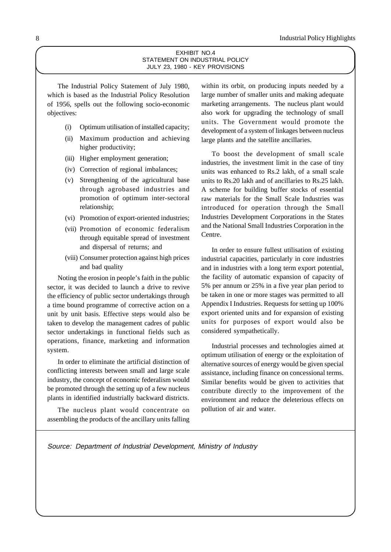#### EXHIBIT NO.4 STATEMENT ON INDUSTRIAL POLICY JULY 23, 1980 - KEY PROVISIONS

The Industrial Policy Statement of July 1980, which is based as the Industrial Policy Resolution of 1956, spells out the following socio-economic objectives:

- (i) Optimum utilisation of installed capacity;
- (ii) Maximum production and achieving higher productivity;
- (iii) Higher employment generation;
- (iv) Correction of regional imbalances;
- (v) Strengthening of the agricultural base through agrobased industries and promotion of optimum inter-sectoral relationship;
- (vi) Promotion of export-oriented industries;
- (vii) Promotion of economic federalism through equitable spread of investment and dispersal of returns; and
- (viii) Consumer protection against high prices and bad quality

Noting the erosion in people's faith in the public sector, it was decided to launch a drive to revive the efficiency of public sector undertakings through a time bound programme of corrective action on a unit by unit basis. Effective steps would also be taken to develop the management cadres of public sector undertakings in functional fields such as operations, finance, marketing and information system.

In order to eliminate the artificial distinction of conflicting interests between small and large scale industry, the concept of economic federalism would be promoted through the setting up of a few nucleus plants in identified industrially backward districts.

The nucleus plant would concentrate on assembling the products of the ancillary units falling

within its orbit, on producing inputs needed by a large number of smaller units and making adequate marketing arrangements. The nucleus plant would also work for upgrading the technology of small units. The Government would promote the development of a system of linkages between nucleus large plants and the satellite ancillaries.

To boost the development of small scale industries, the investment limit in the case of tiny units was enhanced to Rs.2 lakh, of a small scale units to Rs.20 lakh and of ancillaries to Rs.25 lakh. A scheme for building buffer stocks of essential raw materials for the Small Scale Industries was introduced for operation through the Small Industries Development Corporations in the States and the National Small Industries Corporation in the Centre.

In order to ensure fullest utilisation of existing industrial capacities, particularly in core industries and in industries with a long term export potential, the facility of automatic expansion of capacity of 5% per annum or 25% in a five year plan period to be taken in one or more stages was permitted to all Appendix I Industries. Requests for setting up 100% export oriented units and for expansion of existing units for purposes of export would also be considered sympathetically.

Industrial processes and technologies aimed at optimum utilisation of energy or the exploitation of alternative sources of energy would be given special assistance, including finance on concessional terms. Similar benefits would be given to activities that contribute directly to the improvement of the environment and reduce the deleterious effects on pollution of air and water.

Source: Department of Industrial Development, Ministry of Industry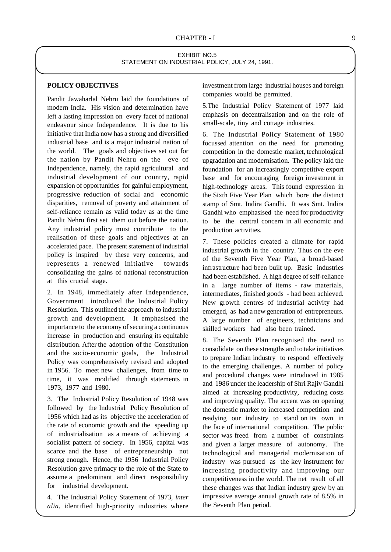### EXHIBIT NO.5 STATEMENT ON INDUSTRIAL POLICY, JULY 24, 1991.

### **POLICY OBJECTIVES**

Pandit Jawaharlal Nehru laid the foundations of modern India. His vision and determination have left a lasting impression on every facet of national endeavour since Independence. It is due to his initiative that India now has a strong and diversified industrial base and is a major industrial nation of the world. The goals and objectives set out for the nation by Pandit Nehru on the eve of Independence, namely, the rapid agricultural and industrial development of our country, rapid expansion of opportunities for gainful employment, progressive reduction of social and economic disparities, removal of poverty and attainment of self-reliance remain as valid today as at the time Pandit Nehru first set them out before the nation. Any industrial policy must contribute to the realisation of these goals and objectives at an accelerated pace. The present statement of industrial policy is inspired by these very concerns, and represents a renewed initiative towards consolidating the gains of national reconstruction at this crucial stage.

2. In 1948, immediately after Independence, Government introduced the Industrial Policy Resolution. This outlined the approach to industrial growth and development. It emphasised the importance to the economy of securing a continuous increase in production and ensuring its equitable distribution. After the adoption of the Constitution and the socio-economic goals, the Industrial Policy was comprehensively revised and adopted in 1956. To meet new challenges, from time to time, it was modified through statements in 1973, 1977 and 1980.

3. The Industrial Policy Resolution of 1948 was followed by the Industrial Policy Resolution of 1956 which had as its objective the acceleration of the rate of economic growth and the speeding up of industrialisation as a means of achieving a socialist pattern of society. In 1956, capital was scarce and the base of entrepreneurship not strong enough. Hence, the 1956 Industrial Policy Resolution gave primacy to the role of the State to assume a predominant and direct responsibility for industrial development.

4. The Industrial Policy Statement of 1973, *inter alia*, identified high-priority industries where

investment from large industrial houses and foreign companies would be permitted.

5.The Industrial Policy Statement of 1977 laid emphasis on decentralisation and on the role of small-scale, tiny and cottage industries.

6. The Industrial Policy Statement of 1980 focussed attention on the need for promoting competition in the domestic market, technological upgradation and modernisation. The policy laid the foundation for an increasingly competitive export base and for encouraging foreign investment in high-technology areas. This found expression in the Sixth Five Year Plan which bore the distinct stamp of Smt. Indira Gandhi. It was Smt. Indira Gandhi who emphasised the need for productivity to be the central concern in all economic and production activities.

7. These policies created a climate for rapid industrial growth in the country. Thus on the eve of the Seventh Five Year Plan, a broad-based infrastructure had been built up. Basic industries had been established. A high degree of self-reliance in a large number of items - raw materials, intermediates, finished goods - had been achieved. New growth centres of industrial activity had emerged, as had a new generation of entrepreneurs. A large number of engineers, technicians and skilled workers had also been trained.

8. The Seventh Plan recognised the need to consolidate on these strengths and to take initiatives to prepare Indian industry to respond effectively to the emerging challenges. A number of policy and procedural changes were introduced in 1985 and 1986 under the leadership of Shri Rajiv Gandhi aimed at increasing productivity, reducing costs and improving quality. The accent was on opening the domestic market to increased competition and readying our industry to stand on its own in the face of international competition. The public sector was freed from a number of constraints and given a larger measure of autonomy. The technological and managerial modernisation of industry was pursued as the key instrument for increasing productivity and improving our competitiveness in the world. The net result of all these changes was that Indian industry grew by an impressive average annual growth rate of 8.5% in the Seventh Plan period.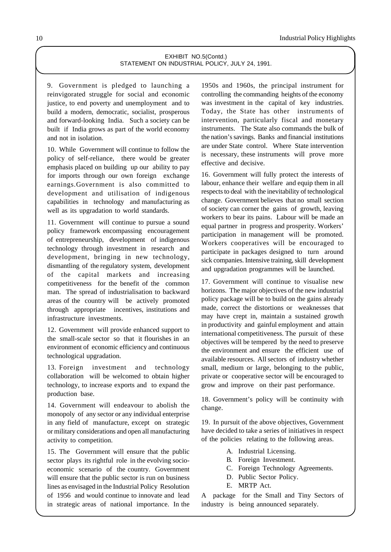### EXHIBIT NO.5(Contd.) STATEMENT ON INDUSTRIAL POLICY, JULY 24, 1991.

9. Government is pledged to launching a reinvigorated struggle for social and economic justice, to end poverty and unemployment and to build a modern, democratic, socialist, prosperous and forward-looking India. Such a society can be built if India grows as part of the world economy and not in isolation.

10. While Government will continue to follow the policy of self-reliance, there would be greater emphasis placed on building up our ability to pay for imports through our own foreign exchange earnings.Government is also committed to development and utilisation of indigenous capabilities in technology and manufacturing as well as its upgradation to world standards.

11. Government will continue to pursue a sound policy framework encompassing encouragement of entrepreneurship, development of indigenous technology through investment in research and development, bringing in new technology, dismantling of the regulatory system, development of the capital markets and increasing competitiveness for the benefit of the common man. The spread of industrialisation to backward areas of the country will be actively promoted through appropriate incentives, institutions and infrastructure investments.

12. Government will provide enhanced support to the small-scale sector so that it flourishes in an environment of economic efficiency and continuous technological upgradation.

13. Foreign investment and technology collaboration will be welcomed to obtain higher technology, to increase exports and to expand the production base.

14. Government will endeavour to abolish the monopoly of any sector or any individual enterprise in any field of manufacture, except on strategic or military considerations and open all manufacturing activity to competition.

15. The Government will ensure that the public sector plays its rightful role in the evolving socioeconomic scenario of the country. Government will ensure that the public sector is run on business lines as envisaged in the Industrial Policy Resolution of 1956 and would continue to innovate and lead in strategic areas of national importance. In the

1950s and 1960s, the principal instrument for controlling the commanding heights of the economy was investment in the capital of key industries. Today, the State has other instruments of intervention, particularly fiscal and monetary instruments. The State also commands the bulk of the nation's savings. Banks and financial institutions are under State control. Where State intervention is necessary, these instruments will prove more effective and decisive.

16. Government will fully protect the interests of labour, enhance their welfare and equip them in all respects to deal with the inevitability of technological change. Government believes that no small section of society can corner the gains of growth, leaving workers to bear its pains. Labour will be made an equal partner in progress and prosperity. Workers' participation in management will be promoted. Workers cooperatives will be encouraged to participate in packages designed to turn around sick companies. Intensive training, skill development and upgradation programmes will be launched.

17. Government will continue to visualise new horizons. The major objectives of the new industrial policy package will be to build on the gains already made, correct the distortions or weaknesses that may have crept in, maintain a sustained growth in productivity and gainful employment and attain international competitiveness. The pursuit of these objectives will be tempered by the need to preserve the environment and ensure the efficient use of available resources. All sectors of industry whether small, medium or large, belonging to the public, private or cooperative sector will be encouraged to grow and improve on their past performance.

18. Government's policy will be continuity with change.

19. In pursuit of the above objectives, Government have decided to take a series of initiatives in respect of the policies relating to the following areas.

- A. Industrial Licensing.
- B. Foreign Investment.
- C. Foreign Technology Agreements.
- D. Public Sector Policy.
- E. MRTP Act.

A package for the Small and Tiny Sectors of industry is being announced separately.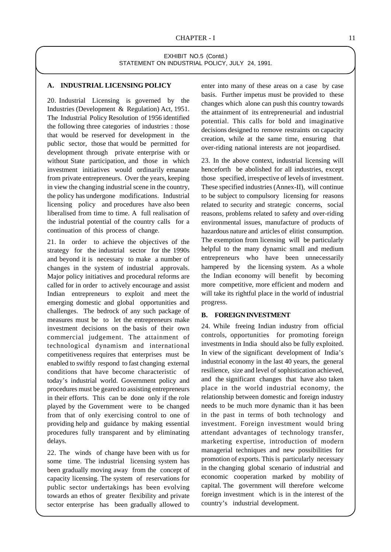### EXHIBIT NO.5 (Contd.) STATEMENT ON INDUSTRIAL POLICY, JULY 24, 1991.

# **A. INDUSTRIAL LICENSING POLICY**

20. Industrial Licensing is governed by the Industries (Development & Regulation) Act, 1951. The Industrial Policy Resolution of 1956 identified the following three categories of industries : those that would be reserved for development in the public sector, those that would be permitted for development through private enterprise with or without State participation, and those in which investment initiatives would ordinarily emanate from private entrepreneurs. Over the years, keeping in view the changing industrial scene in the country, the policy has undergone modifications. Industrial licensing policy and procedures have also been liberalised from time to time. A full realisation of the industrial potential of the country calls for a continuation of this process of change.

21. In order to achieve the objectives of the strategy for the industrial sector for the 1990s and beyond it is necessary to make a number of changes in the system of industrial approvals. Major policy initiatives and procedural reforms are called for in order to actively encourage and assist Indian entrepreneurs to exploit and meet the emerging domestic and global opportunities and challenges. The bedrock of any such package of measures must be to let the entrepreneurs make investment decisions on the basis of their own commercial judgement. The attainment of technological dynamism and international competitiveness requires that enterprises must be enabled to swiftly respond to fast changing external conditions that have become characteristic of today's industrial world. Government policy and procedures must be geared to assisting entrepreneurs in their efforts. This can be done only if the role played by the Government were to be changed from that of only exercising control to one of providing help and guidance by making essential procedures fully transparent and by eliminating delays.

22. The winds of change have been with us for some time. The industrial licensing system has been gradually moving away from the concept of capacity licensing. The system of reservations for public sector undertakings has been evolving towards an ethos of greater flexibility and private sector enterprise has been gradually allowed to enter into many of these areas on a case by case basis. Further impetus must be provided to these changes which alone can push this country towards the attainment of its entrepreneurial and industrial potential. This calls for bold and imaginative decisions designed to remove restraints on capacity creation, while at the same time, ensuring that over-riding national interests are not jeopardised.

23. In the above context, industrial licensing will henceforth be abolished for all industries, except those specified, irrespective of levels of investment. These specified industries (Annex-II), will continue to be subject to compulsory licensing for reasons related to security and strategic concerns, social reasons, problems related to safety and over-riding environmental issues, manufacture of products of hazardous nature and articles of elitist consumption. The exemption from licensing will be particularly helpful to the many dynamic small and medium entrepreneurs who have been unnecessarily hampered by the licensing system. As a whole the Indian economy will benefit by becoming more competitive, more efficient and modern and will take its rightful place in the world of industrial progress.

## **B. FOREIGN INVESTMENT**

24. While freeing Indian industry from official controls, opportunities for promoting foreign investments in India should also be fully exploited. In view of the significant development of India's industrial economy in the last 40 years, the general resilience, size and level of sophistication achieved, and the significant changes that have also taken place in the world industrial economy, the relationship between domestic and foreign industry needs to be much more dynamic than it has been in the past in terms of both technology and investment. Foreign investment would bring attendant advantages of technology transfer, marketing expertise, introduction of modern managerial techniques and new possibilities for promotion of exports. This is particularly necessary in the changing global scenario of industrial and economic cooperation marked by mobility of capital. The government will therefore welcome foreign investment which is in the interest of the country's industrial development.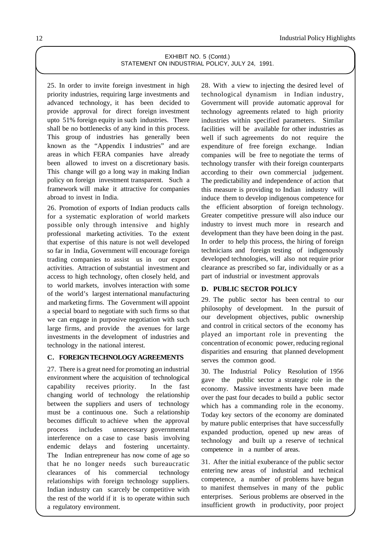### EXHIBIT NO. 5 (Contd.) STATEMENT ON INDUSTRIAL POLICY, JULY 24, 1991.

25. In order to invite foreign investment in high priority industries, requiring large investments and advanced technology, it has been decided to provide approval for direct foreign investment upto 51% foreign equity in such industries. There shall be no bottlenecks of any kind in this process. This group of industries has generally been known as the "Appendix I industries" and are areas in which FERA companies have already been allowed to invest on a discretionary basis. This change will go a long way in making Indian policy on foreign investment transparent. Such a framework will make it attractive for companies abroad to invest in India.

26. Promotion of exports of Indian products calls for a systematic exploration of world markets possible only through intensive and highly professional marketing activities. To the extent that expertise of this nature is not well developed so far in India, Government will encourage foreign trading companies to assist us in our export activities. Attraction of substantial investment and access to high technology, often closely held, and to world markets, involves interaction with some of the world's largest international manufacturing and marketing firms. The Government will appoint a special board to negotiate with such firms so that we can engage in purposive negotiation with such large firms, and provide the avenues for large investments in the development of industries and technology in the national interest.

# **C. FOREIGN TECHNOLOGY AGREEMENTS**

27. There is a great need for promoting an industrial environment where the acquisition of technological capability receives priority. In the fast changing world of technology the relationship between the suppliers and users of technology must be a continuous one. Such a relationship becomes difficult to achieve when the approval process includes unnecessary governmental interference on a case to case basis involving endemic delays and fostering uncertainty. The Indian entrepreneur has now come of age so that he no longer needs such bureaucratic clearances of his commercial technology relationships with foreign technology suppliers. Indian industry can scarcely be competitive with the rest of the world if it is to operate within such a regulatory environment.

28. With a view to injecting the desired level of technological dynamism in Indian industry, Government will provide automatic approval for technology agreements related to high priority industries within specified parameters. Similar facilities will be available for other industries as well if such agreements do not require the expenditure of free foreign exchange. Indian companies will be free to negotiate the terms of technology transfer with their foreign counterparts according to their own commercial judgement. The predictability and independence of action that this measure is providing to Indian industry will induce them to develop indigenous competence for the efficient absorption of foreign technology. Greater competitive pressure will also induce our industry to invest much more in research and development than they have been doing in the past. In order to help this process, the hiring of foreign technicians and foreign testing of indigenously developed technologies, will also not require prior clearance as prescribed so far, individually or as a part of industrial or investment approvals

# **D. PUBLIC SECTOR POLICY**

29. The public sector has been central to our philosophy of development. In the pursuit of our development objectives, public ownership and control in critical sectors of the economy has played an important role in preventing the concentration of economic power, reducing regional disparities and ensuring that planned development serves the common good.

30. The Industrial Policy Resolution of 1956 gave the public sector a strategic role in the economy. Massive investments have been made over the past four decades to build a public sector which has a commanding role in the economy. Today key sectors of the economy are dominated by mature public enterprises that have successfully expanded production, opened up new areas of technology and built up a reserve of technical competence in a number of areas.

31. After the initial exuberance of the public sector entering new areas of industrial and technical competence, a number of problems have begun to manifest themselves in many of the public enterprises. Serious problems are observed in the insufficient growth in productivity, poor project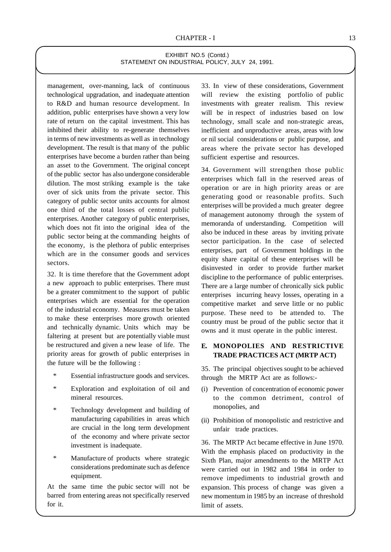### EXHIBIT NO.5 (Contd.) STATEMENT ON INDUSTRIAL POLICY, JULY 24, 1991.

management, over-manning, lack of continuous technological upgradation, and inadequate attention to R&D and human resource development. In addition, public enterprises have shown a very low rate of return on the capital investment. This has inhibited their ability to re-generate themselves in terms of new investments as well as in technology development. The result is that many of the public enterprises have become a burden rather than being an asset to the Government. The original concept of the public sector has also undergone considerable dilution. The most striking example is the take over of sick units from the private sector. This category of public sector units accounts for almost one third of the total losses of central public enterprises. Another category of public enterprises, which does not fit into the original idea of the public sector being at the commanding heights of the economy, is the plethora of public enterprises which are in the consumer goods and services sectors.

32. It is time therefore that the Government adopt a new approach to public enterprises. There must be a greater commitment to the support of public enterprises which are essential for the operation of the industrial economy. Measures must be taken to make these enterprises more growth oriented and technically dynamic. Units which may be faltering at present but are potentially viable must be restructured and given a new lease of life. The priority areas for growth of public enterprises in the future will be the following :

- \* Essential infrastructure goods and services.
- \* Exploration and exploitation of oil and mineral resources.
- Technology development and building of manufacturing capabilities in areas which are crucial in the long term development of the economy and where private sector investment is inadequate.
- \* Manufacture of products where strategic considerations predominate such as defence equipment.

At the same time the pubic sector will not be barred from entering areas not specifically reserved for it.

33. In view of these considerations, Government will review the existing portfolio of public investments with greater realism. This review will be in respect of industries based on low technology, small scale and non-strategic areas, inefficient and unproductive areas, areas with low or nil social considerations or public purpose, and areas where the private sector has developed sufficient expertise and resources.

34. Government will strengthen those public enterprises which fall in the reserved areas of operation or are in high priority areas or are generating good or reasonable profits. Such enterprises will be provided a much greater degree of management autonomy through the system of memoranda of understanding. Competition will also be induced in these areas by inviting private sector participation. In the case of selected enterprises, part of Government holdings in the equity share capital of these enterprises will be disinvested in order to provide further market discipline to the performance of public enterprises. There are a large number of chronically sick public enterprises incurring heavy losses, operating in a competitive market and serve little or no public purpose. These need to be attended to. The country must be proud of the public sector that it owns and it must operate in the public interest.

# **E. MONOPOLIES AND RESTRICTIVE TRADE PRACTICES ACT (MRTP ACT)**

35. The principal objectives sought to be achieved through the MRTP Act are as follows:-

- (i) Prevention of concentration of economic power to the common detriment, control of monopolies, and
- (ii) Prohibition of monopolistic and restrictive and unfair trade practices.

36. The MRTP Act became effective in June 1970. With the emphasis placed on productivity in the Sixth Plan, major amendments to the MRTP Act were carried out in 1982 and 1984 in order to remove impediments to industrial growth and expansion. This process of change was given a new momentum in 1985 by an increase of threshold limit of assets.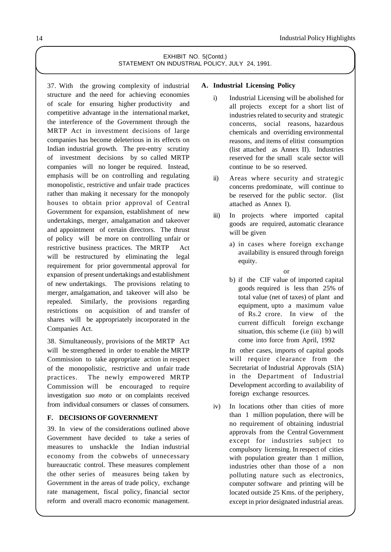### EXHIBIT NO. 5(Contd.) STATEMENT ON INDUSTRIAL POLICY, JULY 24, 1991.

37. With the growing complexity of industrial structure and the need for achieving economies of scale for ensuring higher productivity and competitive advantage in the international market, the interference of the Government through the MRTP Act in investment decisions of large companies has become deleterious in its effects on Indian industrial growth. The pre-entry scrutiny of investment decisions by so called MRTP companies will no longer be required. Instead, emphasis will be on controlling and regulating monopolistic, restrictive and unfair trade practices rather than making it necessary for the monopoly houses to obtain prior approval of Central Government for expansion, establishment of new undertakings, merger, amalgamation and takeover and appointment of certain directors. The thrust of policy will be more on controlling unfair or restrictive business practices. The MRTP Act will be restructured by eliminating the legal requirement for prior governmental approval for expansion of present undertakings and establishment of new undertakings. The provisions relating to merger, amalgamation, and takeover will also be repealed. Similarly, the provisions regarding restrictions on acquisition of and transfer of shares will be appropriately incorporated in the Companies Act.

38. Simultaneously, provisions of the MRTP Act will be strengthened in order to enable the MRTP Commission to take appropriate action in respect of the monopolistic, restrictive and unfair trade practices. The newly empowered MRTP Commission will be encouraged to require investigation *suo moto* or on complaints received from individual consumers or classes of consumers.

# **F. DECISIONS OF GOVERNMENT**

39. In view of the considerations outlined above Government have decided to take a series of measures to unshackle the Indian industrial economy from the cobwebs of unnecessary bureaucratic control. These measures complement the other series of measures being taken by Government in the areas of trade policy, exchange rate management, fiscal policy, financial sector reform and overall macro economic management.

# **A. Industrial Licensing Policy**

- i) Industrial Licensing will be abolished for all projects except for a short list of industries related to security and strategic concerns, social reasons, hazardous chemicals and overriding environmental reasons, and items of elitist consumption (list attached as Annex II). Industries reserved for the small scale sector will continue to be so reserved.
- ii) Areas where security and strategic concerns predominate, will continue to be reserved for the public sector. (list attached as Annex I).
- iii) In projects where imported capital goods are required, automatic clearance will be given
	- a) in cases where foreign exchange availability is ensured through foreign equity.
		- or
	- b) if the CIF value of imported capital goods required is less than 25% of total value (net of taxes) of plant and equipment, upto a maximum value of Rs.2 crore. In view of the current difficult foreign exchange situation, this scheme (i.e (iii) b) will come into force from April, 1992

In other cases, imports of capital goods will require clearance from the Secretariat of Industrial Approvals (SIA) in the Department of Industrial Development according to availability of foreign exchange resources.

iv) In locations other than cities of more than 1 million population, there will be no requirement of obtaining industrial approvals from the Central Government except for industries subject to compulsory licensing. In respect of cities with population greater than 1 million, industries other than those of a non polluting nature such as electronics, computer software and printing will be located outside 25 Kms. of the periphery, except in prior designated industrial areas.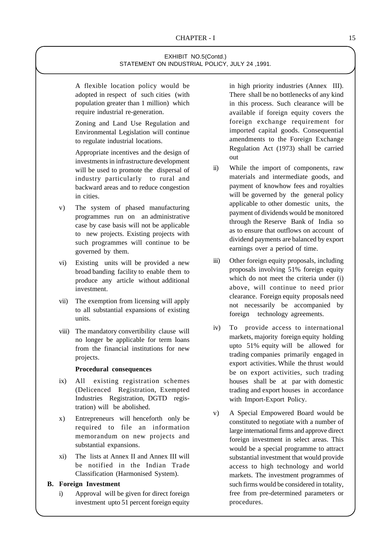#### EXHIBIT NO.5(Contd.) STATEMENT ON INDUSTRIAL POLICY, JULY 24 ,1991.

A flexible location policy would be adopted in respect of such cities (with population greater than 1 million) which require industrial re-generation.

Zoning and Land Use Regulation and Environmental Legislation will continue to regulate industrial locations.

Appropriate incentives and the design of investments in infrastructure development will be used to promote the dispersal of industry particularly to rural and backward areas and to reduce congestion in cities.

- v) The system of phased manufacturing programmes run on an administrative case by case basis will not be applicable to new projects. Existing projects with such programmes will continue to be governed by them.
- vi) Existing units will be provided a new broad banding facility to enable them to produce any article without additional investment.
- vii) The exemption from licensing will apply to all substantial expansions of existing units.
- viii) The mandatory convertibility clause will no longer be applicable for term loans from the financial institutions for new projects.

#### **Procedural consequences**

- ix) All existing registration schemes (Delicenced Registration, Exempted Industries Registration, DGTD registration) will be abolished.
- x) Entrepreneurs will henceforth only be required to file an information memorandum on new projects and substantial expansions.
- xi) The lists at Annex II and Annex III will be notified in the Indian Trade Classification (Harmonised System).

### **B. Foreign Investment**

i) Approval will be given for direct foreign investment upto 51 percent foreign equity in high priority industries (Annex III). There shall be no bottlenecks of any kind in this process. Such clearance will be available if foreign equity covers the foreign exchange requirement for imported capital goods. Consequential amendments to the Foreign Exchange Regulation Act (1973) shall be carried out

- ii) While the import of components, raw materials and intermediate goods, and payment of knowhow fees and royalties will be governed by the general policy applicable to other domestic units, the payment of dividends would be monitored through the Reserve Bank of India so as to ensure that outflows on account of dividend payments are balanced by export earnings over a period of time.
- iii) Other foreign equity proposals, including proposals involving 51% foreign equity which do not meet the criteria under (i) above, will continue to need prior clearance. Foreign equity proposals need not necessarily be accompanied by foreign technology agreements.
- iv) To provide access to international markets, majority foreign equity holding upto 51% equity will be allowed for trading companies primarily engaged in export activities. While the thrust would be on export activities, such trading houses shall be at par with domestic trading and export houses in accordance with Import-Export Policy.
- v) A Special Empowered Board would be constituted to negotiate with a number of large international firms and approve direct foreign investment in select areas. This would be a special programme to attract substantial investment that would provide access to high technology and world markets. The investment programmes of such firms would be considered in totality, free from pre-determined parameters or procedures.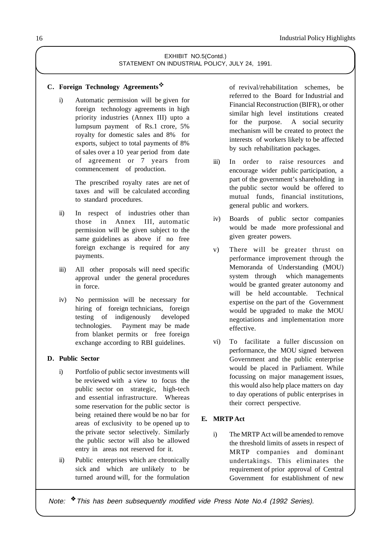### EXHIBIT NO.5(Contd.) STATEMENT ON INDUSTRIAL POLICY, JULY 24, 1991.

# **C. Foreign Technology Agreements**

i) Automatic permission will be given for foreign technology agreements in high priority industries (Annex III) upto a lumpsum payment of Rs.1 crore, 5% royalty for domestic sales and 8% for exports, subject to total payments of 8% of sales over a 10 year period from date of agreement or 7 years from commencement of production.

> The prescribed royalty rates are net of taxes and will be calculated according to standard procedures.

- ii) In respect of industries other than those in Annex III, automatic permission will be given subject to the same guidelines as above if no free foreign exchange is required for any payments.
- iii) All other proposals will need specific approval under the general procedures in force.
- iv) No permission will be necessary for hiring of foreign technicians, foreign testing of indigenously developed technologies. Payment may be made from blanket permits or free foreign exchange according to RBI guidelines.

# **D. Public Sector**

- i) Portfolio of public sector investments will be reviewed with a view to focus the public sector on strategic, high-tech and essential infrastructure. Whereas some reservation for the public sector is being retained there would be no bar for areas of exclusivity to be opened up to the private sector selectively. Similarly the public sector will also be allowed entry in areas not reserved for it.
- ii) Public enterprises which are chronically sick and which are unlikely to be turned around will, for the formulation

of revival/rehabilitation schemes, be referred to the Board for Industrial and Financial Reconstruction (BIFR), or other similar high level institutions created for the purpose. A social security mechanism will be created to protect the interests of workers likely to be affected by such rehabilitation packages.

- iii) In order to raise resources and encourage wider public participation, a part of the government's shareholding in the public sector would be offered to mutual funds, financial institutions, general public and workers.
- iv) Boards of public sector companies would be made more professional and given greater powers.
- v) There will be greater thrust on performance improvement through the Memoranda of Understanding (MOU) system through which managements would be granted greater autonomy and will be held accountable. Technical expertise on the part of the Government would be upgraded to make the MOU negotiations and implementation more effective.
- vi) To facilitate a fuller discussion on performance, the MOU signed between Government and the public enterprise would be placed in Parliament. While focussing on major management issues, this would also help place matters on day to day operations of public enterprises in their correct perspective.

# **E. MRTP Act**

i) The MRTP Act will be amended to remove the threshold limits of assets in respect of MRTP companies and dominant undertakings. This eliminates the requirement of prior approval of Central Government for establishment of new

Note:  $*$  This has been subsequently modified vide Press Note No.4 (1992 Series).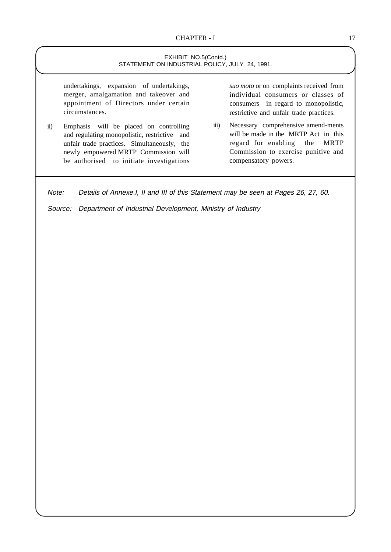### EXHIBIT NO.5(Contd.) STATEMENT ON INDUSTRIAL POLICY, JULY 24, 1991.

undertakings, expansion of undertakings, merger, amalgamation and takeover and appointment of Directors under certain circumstances.

ii) Emphasis will be placed on controlling and regulating monopolistic, restrictive and unfair trade practices. Simultaneously, the newly empowered MRTP Commission will be authorised to initiate investigations

*suo moto* or on complaints received from individual consumers or classes of consumers in regard to monopolistic, restrictive and unfair trade practices.

iii) Necessary comprehensive amend-ments will be made in the MRTP Act in this regard for enabling the MRTP Commission to exercise punitive and compensatory powers.

Note: Details of Annexe.I, II and III of this Statement may be seen at Pages 26, 27, 60.

Source: Department of Industrial Development, Ministry of Industry